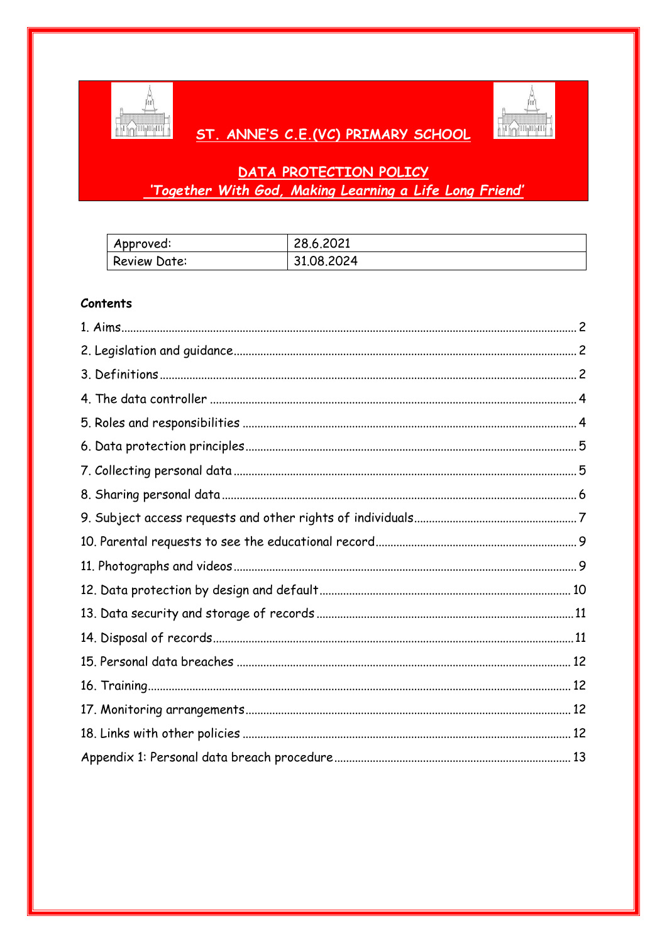

# ST. ANNE'S C.E.(VC) PRIMARY SCHOOL



# DATA PROTECTION POLICY 'Together With God, Making Learning a Life Long Friend'

| Approved:           | 28,6,2021  |
|---------------------|------------|
| <b>Review Date:</b> | 31.08.2024 |

# **Contents**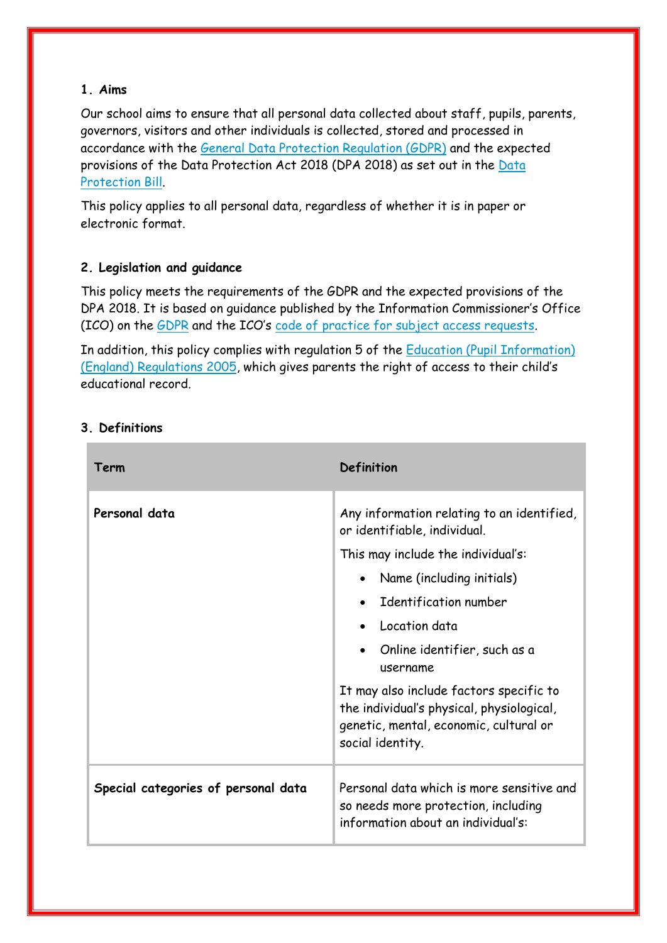# **1. Aims**

Our school aims to ensure that all personal data collected about staff, pupils, parents, governors, visitors and other individuals is collected, stored and processed in accordance with the [General Data Protection Regulation \(GDPR\)](http://data.consilium.europa.eu/doc/document/ST-5419-2016-INIT/en/pdf) and the expected provisions of the Data Protection Act 2018 (DPA 2018) as set out in the [Data](https://publications.parliament.uk/pa/bills/cbill/2017-2019/0153/18153.pdf)  [Protection](https://publications.parliament.uk/pa/bills/cbill/2017-2019/0153/18153.pdf) Bill.

This policy applies to all personal data, regardless of whether it is in paper or electronic format.

# **2. Legislation and guidance**

This policy meets the requirements of the GDPR and the expected provisions of the DPA 2018. It is based on guidance published by the Information Commissioner's Office (ICO) on the [GDPR](https://ico.org.uk/for-organisations/guide-to-the-general-data-protection-regulation-gdpr/) and the ICO's [code of practice for subject access requests.](https://ico.org.uk/media/for-organisations/documents/2014223/subject-access-code-of-practice.pdf)

In addition, this policy complies with regulation 5 of the [Education \(Pupil Information\)](http://www.legislation.gov.uk/uksi/2005/1437/regulation/5/made)  [\(England\) Regulations 2005](http://www.legislation.gov.uk/uksi/2005/1437/regulation/5/made), which gives parents the right of access to their child's educational record.

| Term                                | Definition                                                                                                                                         |
|-------------------------------------|----------------------------------------------------------------------------------------------------------------------------------------------------|
| Personal data                       | Any information relating to an identified,<br>or identifiable, individual.                                                                         |
|                                     | This may include the individual's:                                                                                                                 |
|                                     | Name (including initials)<br>$\bullet$                                                                                                             |
|                                     | Identification number                                                                                                                              |
|                                     | Location data                                                                                                                                      |
|                                     | Online identifier, such as a<br>username                                                                                                           |
|                                     | It may also include factors specific to<br>the individual's physical, physiological,<br>genetic, mental, economic, cultural or<br>social identity. |
| Special categories of personal data | Personal data which is more sensitive and<br>so needs more protection, including<br>information about an individual's:                             |

# **3. Definitions**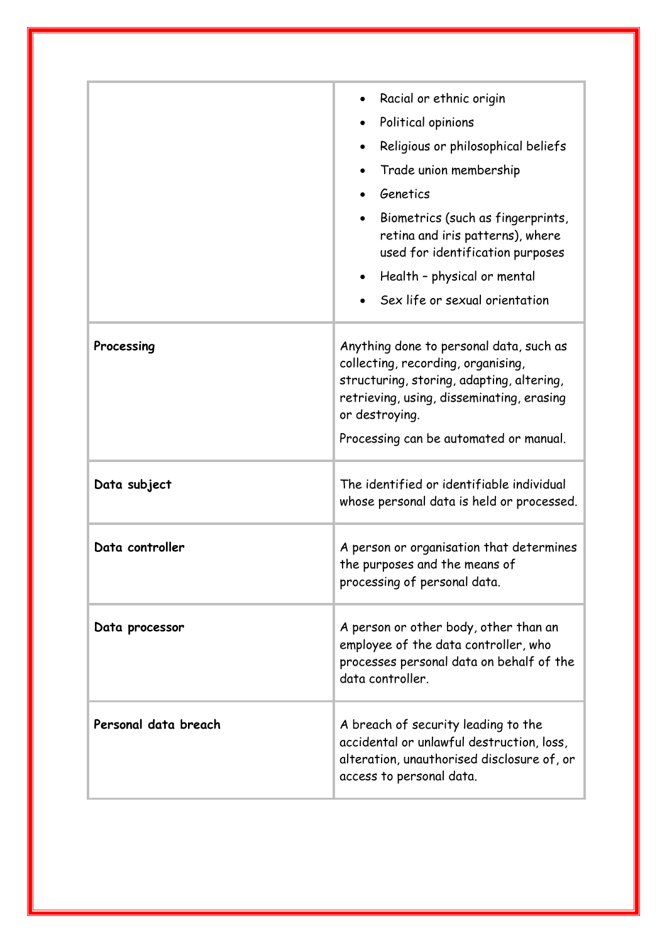|                      | Racial or ethnic origin<br>Political opinions<br>$\bullet$<br>Religious or philosophical beliefs<br>Trade union membership<br>Genetics<br>Biometrics (such as fingerprints,<br>retina and iris patterns), where<br>used for identification purposes<br>Health - physical or mental<br>Sex life or sexual orientation |
|----------------------|----------------------------------------------------------------------------------------------------------------------------------------------------------------------------------------------------------------------------------------------------------------------------------------------------------------------|
| Processing           | Anything done to personal data, such as<br>collecting, recording, organising,<br>structuring, storing, adapting, altering,<br>retrieving, using, disseminating, erasing<br>or destroying.<br>Processing can be automated or manual.                                                                                  |
| Data subject         | The identified or identifiable individual<br>whose personal data is held or processed.                                                                                                                                                                                                                               |
| Data controller      | A person or organisation that determines<br>the purposes and the means of<br>processing of personal data.                                                                                                                                                                                                            |
| Data processor       | A person or other body, other than an<br>employee of the data controller, who<br>processes personal data on behalf of the<br>data controller.                                                                                                                                                                        |
| Personal data breach | A breach of security leading to the<br>accidental or unlawful destruction, loss,<br>alteration, unauthorised disclosure of, or<br>access to personal data.                                                                                                                                                           |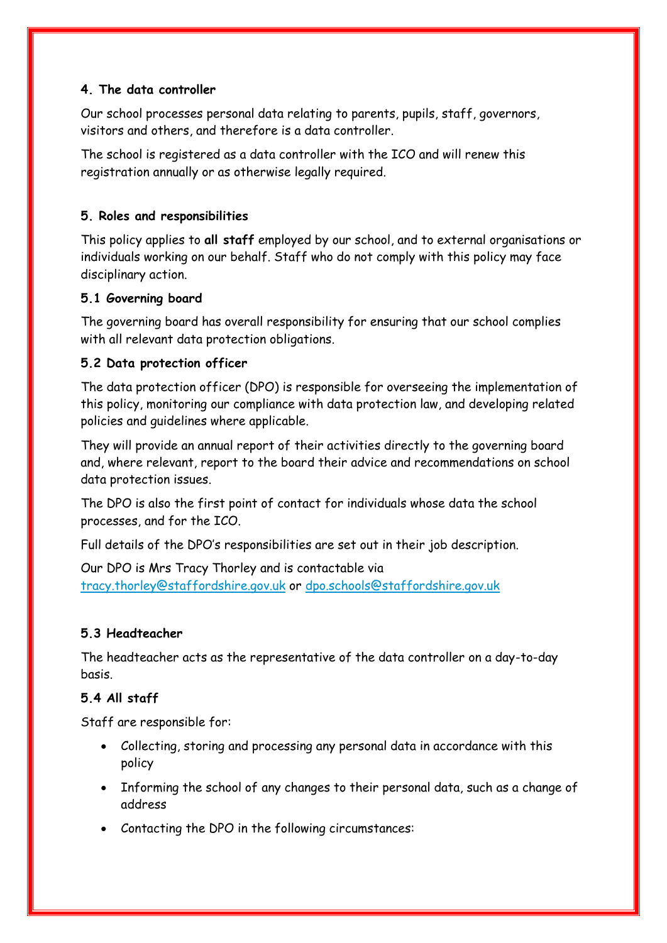# **4. The data controller**

Our school processes personal data relating to parents, pupils, staff, governors, visitors and others, and therefore is a data controller.

The school is registered as a data controller with the ICO and will renew this registration annually or as otherwise legally required.

# **5. Roles and responsibilities**

This policy applies to **all staff** employed by our school, and to external organisations or individuals working on our behalf. Staff who do not comply with this policy may face disciplinary action.

# **5.1 Governing board**

The governing board has overall responsibility for ensuring that our school complies with all relevant data protection obligations.

# **5.2 Data protection officer**

The data protection officer (DPO) is responsible for overseeing the implementation of this policy, monitoring our compliance with data protection law, and developing related policies and guidelines where applicable.

They will provide an annual report of their activities directly to the governing board and, where relevant, report to the board their advice and recommendations on school data protection issues.

The DPO is also the first point of contact for individuals whose data the school processes, and for the ICO.

Full details of the DPO's responsibilities are set out in their job description.

Our DPO is Mrs Tracy Thorley and is contactable via [tracy.thorley@staffordshire.gov.uk](mailto:tracy.thorley@staffordshire.gov.uk) or [dpo.schools@staffordshire.gov.uk](mailto:dpo.schools@staffordshire.gov.uk)

# **5.3 Headteacher**

The headteacher acts as the representative of the data controller on a day-to-day basis.

# **5.4 All staff**

Staff are responsible for:

- Collecting, storing and processing any personal data in accordance with this policy
- Informing the school of any changes to their personal data, such as a change of address
- Contacting the DPO in the following circumstances: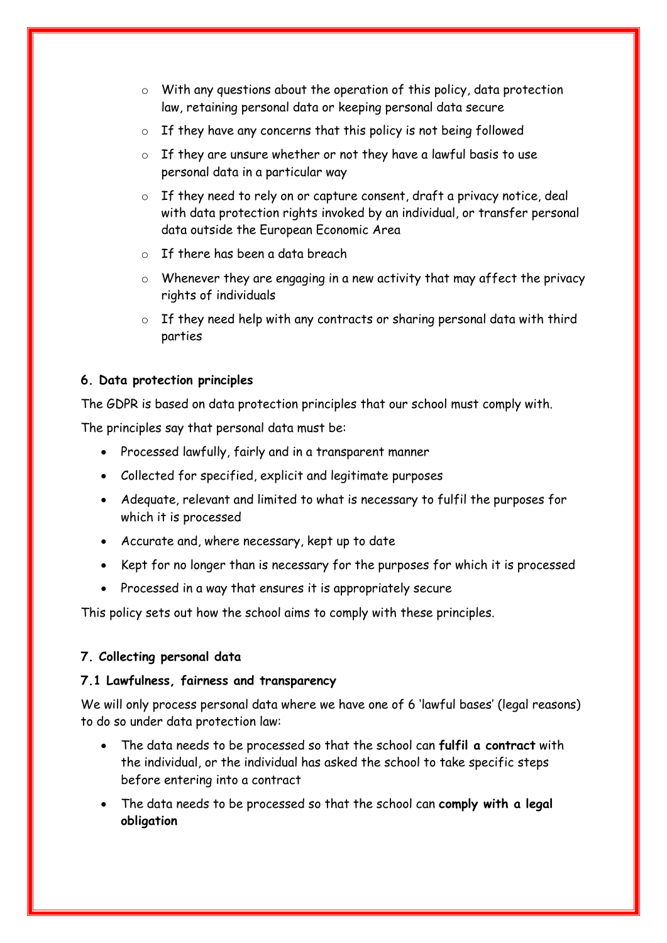- o With any questions about the operation of this policy, data protection law, retaining personal data or keeping personal data secure
- o If they have any concerns that this policy is not being followed
- o If they are unsure whether or not they have a lawful basis to use personal data in a particular way
- o If they need to rely on or capture consent, draft a privacy notice, deal with data protection rights invoked by an individual, or transfer personal data outside the European Economic Area
- $\circ$  If there has been a data breach
- o Whenever they are engaging in a new activity that may affect the privacy rights of individuals
- o If they need help with any contracts or sharing personal data with third parties

#### **6. Data protection principles**

The GDPR is based on data protection principles that our school must comply with.

The principles say that personal data must be:

- Processed lawfully, fairly and in a transparent manner
- Collected for specified, explicit and legitimate purposes
- Adequate, relevant and limited to what is necessary to fulfil the purposes for which it is processed
- Accurate and, where necessary, kept up to date
- Kept for no longer than is necessary for the purposes for which it is processed
- Processed in a way that ensures it is appropriately secure

This policy sets out how the school aims to comply with these principles.

#### **7. Collecting personal data**

#### **7.1 Lawfulness, fairness and transparency**

We will only process personal data where we have one of 6 'lawful bases' (legal reasons) to do so under data protection law:

- The data needs to be processed so that the school can **fulfil a contract** with the individual, or the individual has asked the school to take specific steps before entering into a contract
- The data needs to be processed so that the school can **comply with a legal obligation**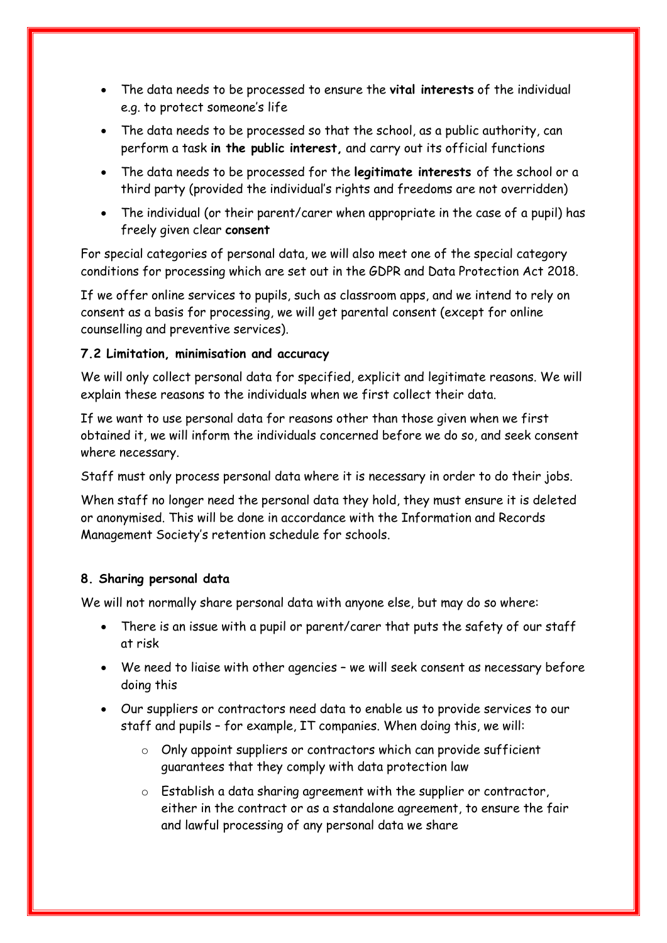- The data needs to be processed to ensure the **vital interests** of the individual e.g. to protect someone's life
- The data needs to be processed so that the school, as a public authority, can perform a task **in the public interest,** and carry out its official functions
- The data needs to be processed for the **legitimate interests** of the school or a third party (provided the individual's rights and freedoms are not overridden)
- The individual (or their parent/carer when appropriate in the case of a pupil) has freely given clear **consent**

For special categories of personal data, we will also meet one of the special category conditions for processing which are set out in the GDPR and Data Protection Act 2018.

If we offer online services to pupils, such as classroom apps, and we intend to rely on consent as a basis for processing, we will get parental consent (except for online counselling and preventive services).

# **7.2 Limitation, minimisation and accuracy**

We will only collect personal data for specified, explicit and legitimate reasons. We will explain these reasons to the individuals when we first collect their data.

If we want to use personal data for reasons other than those given when we first obtained it, we will inform the individuals concerned before we do so, and seek consent where necessary.

Staff must only process personal data where it is necessary in order to do their jobs.

When staff no longer need the personal data they hold, they must ensure it is deleted or anonymised. This will be done in accordance with the Information and Records Management Society's retention schedule for schools.

# **8. Sharing personal data**

We will not normally share personal data with anyone else, but may do so where:

- There is an issue with a pupil or parent/carer that puts the safety of our staff at risk
- We need to liaise with other agencies we will seek consent as necessary before doing this
- Our suppliers or contractors need data to enable us to provide services to our staff and pupils – for example, IT companies. When doing this, we will:
	- o Only appoint suppliers or contractors which can provide sufficient guarantees that they comply with data protection law
	- o Establish a data sharing agreement with the supplier or contractor, either in the contract or as a standalone agreement, to ensure the fair and lawful processing of any personal data we share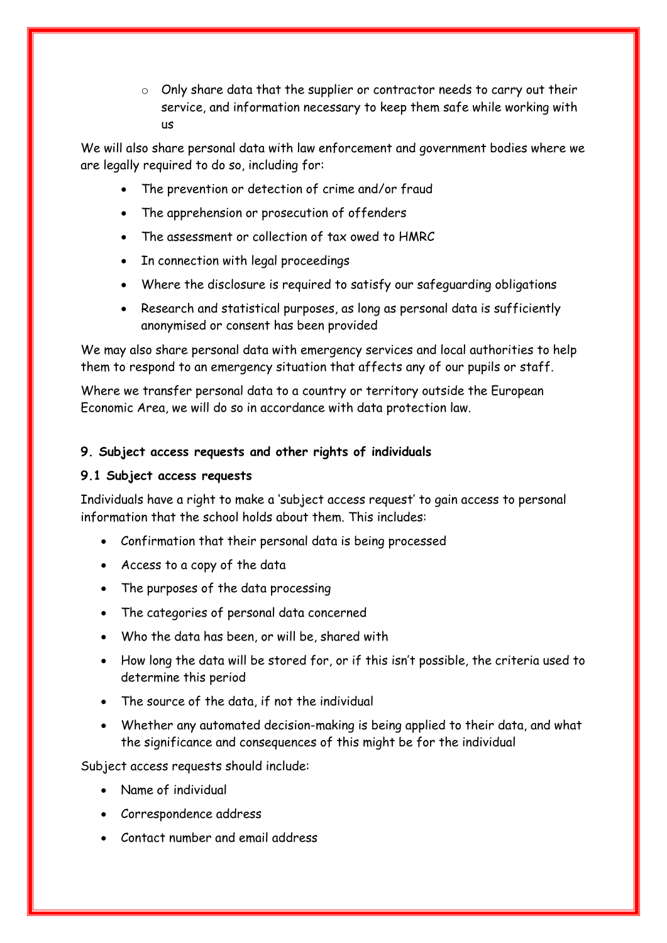o Only share data that the supplier or contractor needs to carry out their service, and information necessary to keep them safe while working with us

We will also share personal data with law enforcement and government bodies where we are legally required to do so, including for:

- The prevention or detection of crime and/or fraud
- The apprehension or prosecution of offenders
- The assessment or collection of tax owed to HMRC
- In connection with legal proceedings
- Where the disclosure is required to satisfy our safeguarding obligations
- Research and statistical purposes, as long as personal data is sufficiently anonymised or consent has been provided

We may also share personal data with emergency services and local authorities to help them to respond to an emergency situation that affects any of our pupils or staff.

Where we transfer personal data to a country or territory outside the European Economic Area, we will do so in accordance with data protection law.

# **9. Subject access requests and other rights of individuals**

# **9.1 Subject access requests**

Individuals have a right to make a 'subject access request' to gain access to personal information that the school holds about them. This includes:

- Confirmation that their personal data is being processed
- Access to a copy of the data
- The purposes of the data processing
- The categories of personal data concerned
- Who the data has been, or will be, shared with
- How long the data will be stored for, or if this isn't possible, the criteria used to determine this period
- The source of the data if not the individual
- Whether any automated decision-making is being applied to their data, and what the significance and consequences of this might be for the individual

Subject access requests should include:

- Name of individual
- Correspondence address
- Contact number and email address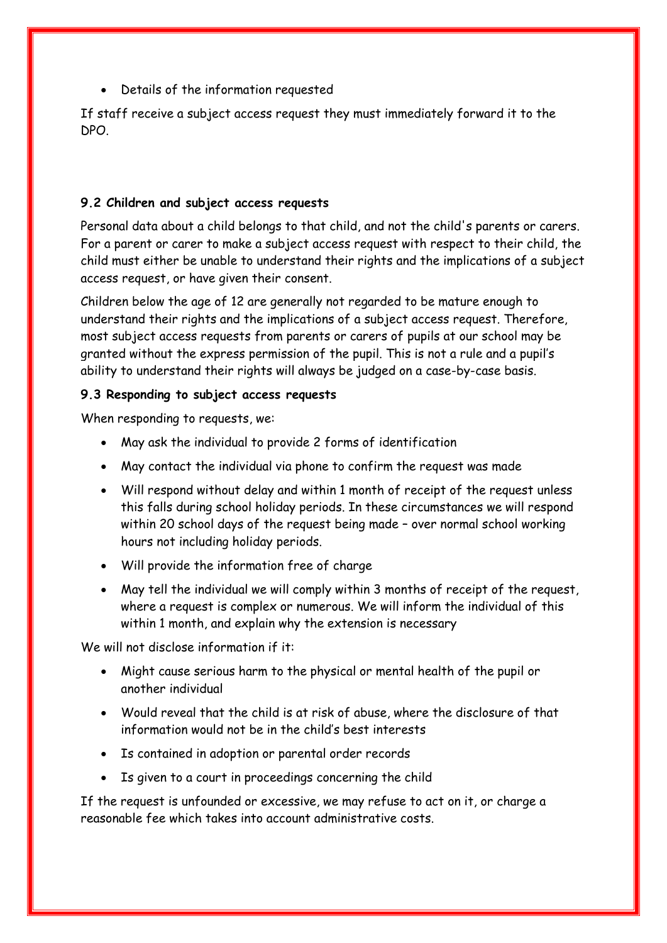Details of the information requested

If staff receive a subject access request they must immediately forward it to the DPO.

# **9.2 Children and subject access requests**

Personal data about a child belongs to that child, and not the child's parents or carers. For a parent or carer to make a subject access request with respect to their child, the child must either be unable to understand their rights and the implications of a subject access request, or have given their consent.

Children below the age of 12 are generally not regarded to be mature enough to understand their rights and the implications of a subject access request. Therefore, most subject access requests from parents or carers of pupils at our school may be granted without the express permission of the pupil. This is not a rule and a pupil's ability to understand their rights will always be judged on a case-by-case basis.

# **9.3 Responding to subject access requests**

When responding to requests, we:

- May ask the individual to provide 2 forms of identification
- May contact the individual via phone to confirm the request was made
- Will respond without delay and within 1 month of receipt of the request unless this falls during school holiday periods. In these circumstances we will respond within 20 school days of the request being made – over normal school working hours not including holiday periods.
- Will provide the information free of charge
- May tell the individual we will comply within 3 months of receipt of the request, where a request is complex or numerous. We will inform the individual of this within 1 month, and explain why the extension is necessary

We will not disclose information if it:

- Might cause serious harm to the physical or mental health of the pupil or another individual
- Would reveal that the child is at risk of abuse, where the disclosure of that information would not be in the child's best interests
- Is contained in adoption or parental order records
- Is given to a court in proceedings concerning the child

If the request is unfounded or excessive, we may refuse to act on it, or charge a reasonable fee which takes into account administrative costs.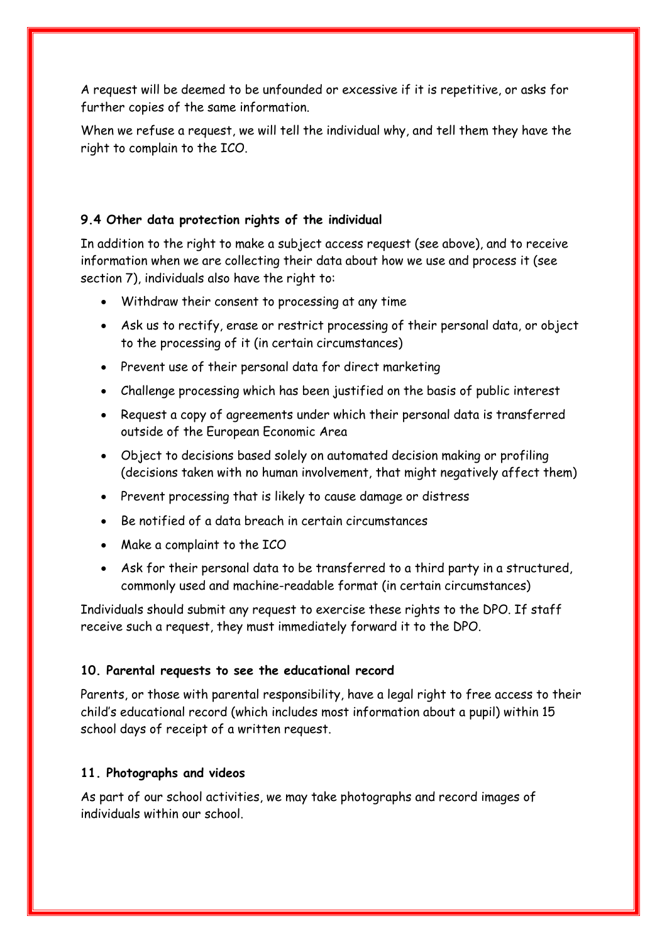A request will be deemed to be unfounded or excessive if it is repetitive, or asks for further copies of the same information.

When we refuse a request, we will tell the individual why, and tell them they have the right to complain to the ICO.

# **9.4 Other data protection rights of the individual**

In addition to the right to make a subject access request (see above), and to receive information when we are collecting their data about how we use and process it (see section 7), individuals also have the right to:

- Withdraw their consent to processing at any time
- Ask us to rectify, erase or restrict processing of their personal data, or object to the processing of it (in certain circumstances)
- Prevent use of their personal data for direct marketing
- Challenge processing which has been justified on the basis of public interest
- Request a copy of agreements under which their personal data is transferred outside of the European Economic Area
- Object to decisions based solely on automated decision making or profiling (decisions taken with no human involvement, that might negatively affect them)
- Prevent processing that is likely to cause damage or distress
- Be notified of a data breach in certain circumstances
- Make a complaint to the ICO
- Ask for their personal data to be transferred to a third party in a structured, commonly used and machine-readable format (in certain circumstances)

Individuals should submit any request to exercise these rights to the DPO. If staff receive such a request, they must immediately forward it to the DPO.

#### **10. Parental requests to see the educational record**

Parents, or those with parental responsibility, have a legal right to free access to their child's educational record (which includes most information about a pupil) within 15 school days of receipt of a written request.

#### **11. Photographs and videos**

As part of our school activities, we may take photographs and record images of individuals within our school.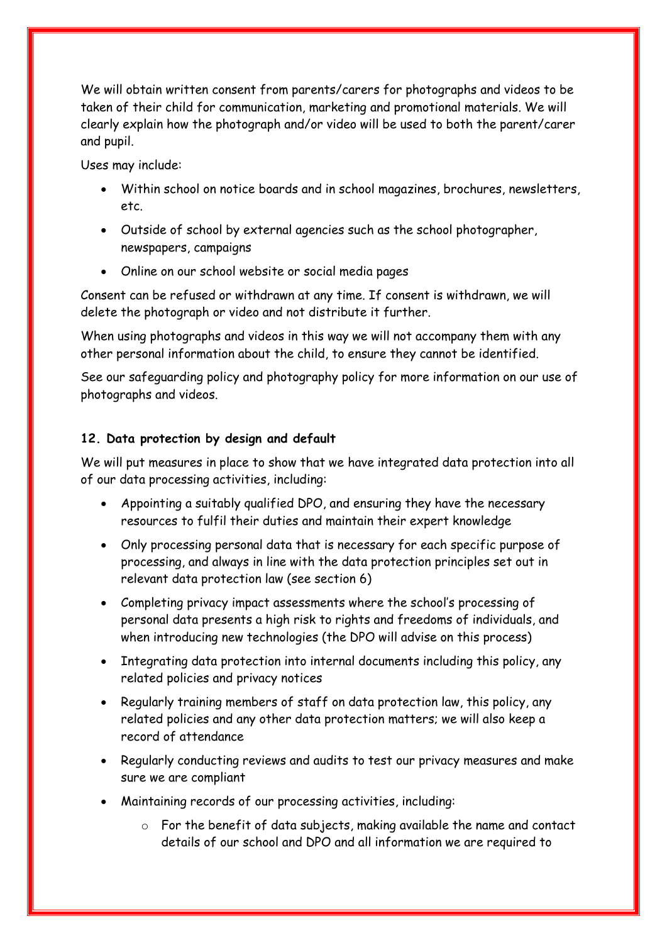We will obtain written consent from parents/carers for photographs and videos to be taken of their child for communication, marketing and promotional materials. We will clearly explain how the photograph and/or video will be used to both the parent/carer and pupil.

Uses may include:

- Within school on notice boards and in school magazines, brochures, newsletters, etc.
- Outside of school by external agencies such as the school photographer, newspapers, campaigns
- Online on our school website or social media pages

Consent can be refused or withdrawn at any time. If consent is withdrawn, we will delete the photograph or video and not distribute it further.

When using photographs and videos in this way we will not accompany them with any other personal information about the child, to ensure they cannot be identified.

See our safeguarding policy and photography policy for more information on our use of photographs and videos.

# **12. Data protection by design and default**

We will put measures in place to show that we have integrated data protection into all of our data processing activities, including:

- Appointing a suitably qualified DPO, and ensuring they have the necessary resources to fulfil their duties and maintain their expert knowledge
- Only processing personal data that is necessary for each specific purpose of processing, and always in line with the data protection principles set out in relevant data protection law (see section 6)
- Completing privacy impact assessments where the school's processing of personal data presents a high risk to rights and freedoms of individuals, and when introducing new technologies (the DPO will advise on this process)
- Integrating data protection into internal documents including this policy, any related policies and privacy notices
- Regularly training members of staff on data protection law, this policy, any related policies and any other data protection matters; we will also keep a record of attendance
- Regularly conducting reviews and audits to test our privacy measures and make sure we are compliant
- Maintaining records of our processing activities, including:
	- o For the benefit of data subjects, making available the name and contact details of our school and DPO and all information we are required to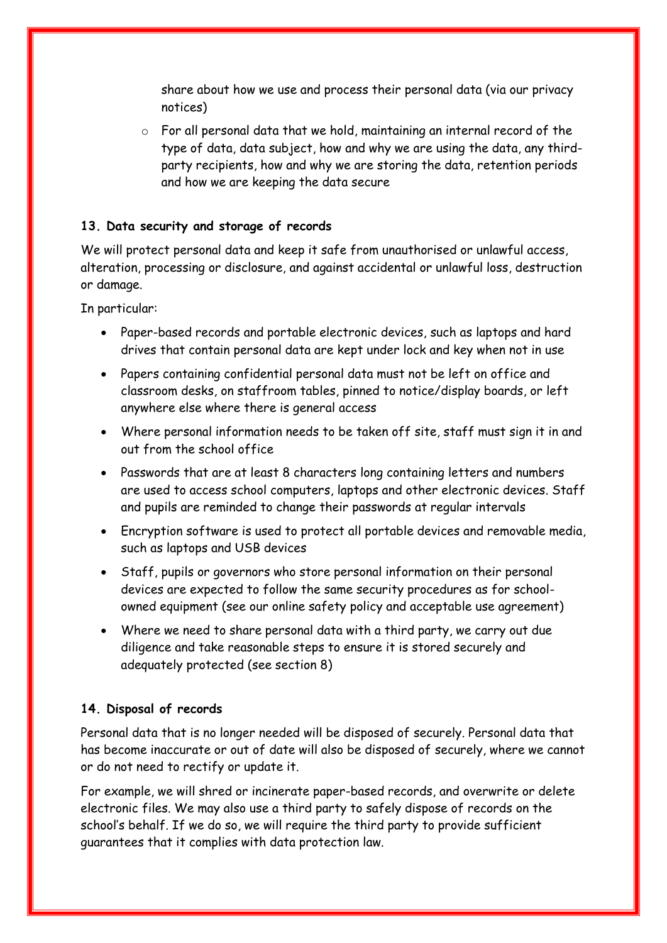share about how we use and process their personal data (via our privacy notices)

o For all personal data that we hold, maintaining an internal record of the type of data, data subject, how and why we are using the data, any thirdparty recipients, how and why we are storing the data, retention periods and how we are keeping the data secure

# **13. Data security and storage of records**

We will protect personal data and keep it safe from unauthorised or unlawful access, alteration, processing or disclosure, and against accidental or unlawful loss, destruction or damage.

In particular:

- Paper-based records and portable electronic devices, such as laptops and hard drives that contain personal data are kept under lock and key when not in use
- Papers containing confidential personal data must not be left on office and classroom desks, on staffroom tables, pinned to notice/display boards, or left anywhere else where there is general access
- Where personal information needs to be taken off site, staff must sign it in and out from the school office
- Passwords that are at least 8 characters long containing letters and numbers are used to access school computers, laptops and other electronic devices. Staff and pupils are reminded to change their passwords at regular intervals
- Encryption software is used to protect all portable devices and removable media, such as laptops and USB devices
- Staff, pupils or governors who store personal information on their personal devices are expected to follow the same security procedures as for schoolowned equipment (see our online safety policy and acceptable use agreement)
- Where we need to share personal data with a third party, we carry out due diligence and take reasonable steps to ensure it is stored securely and adequately protected (see section 8)

#### **14. Disposal of records**

Personal data that is no longer needed will be disposed of securely. Personal data that has become inaccurate or out of date will also be disposed of securely, where we cannot or do not need to rectify or update it.

For example, we will shred or incinerate paper-based records, and overwrite or delete electronic files. We may also use a third party to safely dispose of records on the school's behalf. If we do so, we will require the third party to provide sufficient guarantees that it complies with data protection law.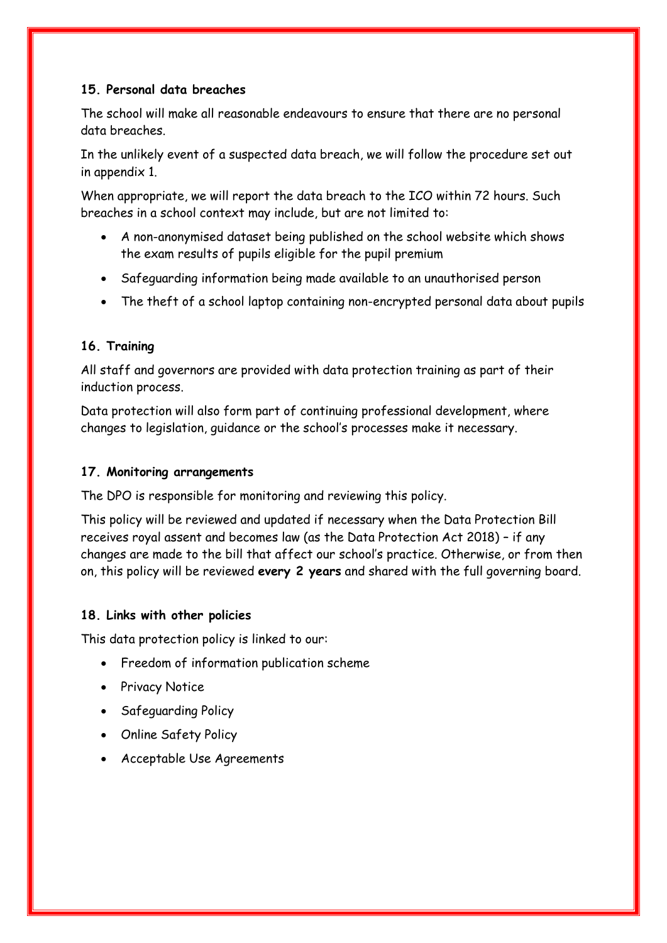# **15. Personal data breaches**

The school will make all reasonable endeavours to ensure that there are no personal data breaches.

In the unlikely event of a suspected data breach, we will follow the procedure set out in appendix 1.

When appropriate, we will report the data breach to the ICO within 72 hours. Such breaches in a school context may include, but are not limited to:

- A non-anonymised dataset being published on the school website which shows the exam results of pupils eligible for the pupil premium
- Safeguarding information being made available to an unauthorised person
- The theft of a school laptop containing non-encrypted personal data about pupils

# **16. Training**

All staff and governors are provided with data protection training as part of their induction process.

Data protection will also form part of continuing professional development, where changes to legislation, guidance or the school's processes make it necessary.

# **17. Monitoring arrangements**

The DPO is responsible for monitoring and reviewing this policy.

This policy will be reviewed and updated if necessary when the Data Protection Bill receives royal assent and becomes law (as the Data Protection Act 2018) – if any changes are made to the bill that affect our school's practice. Otherwise, or from then on, this policy will be reviewed **every 2 years** and shared with the full governing board.

# **18. Links with other policies**

This data protection policy is linked to our:

- Freedom of information publication scheme
- Privacy Notice
- Safeguarding Policy
- Online Safety Policy
- Acceptable Use Agreements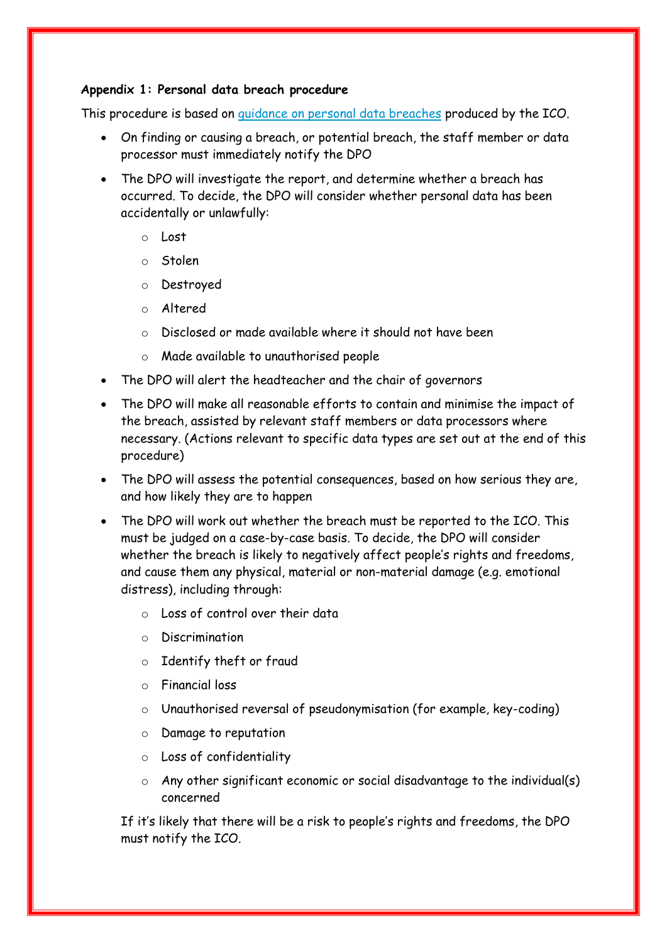#### **Appendix 1: Personal data breach procedure**

This procedure is based on [guidance on personal data breaches](https://ico.org.uk/for-organisations/guide-to-the-general-data-protection-regulation-gdpr/personal-data-breaches/) produced by the ICO.

- On finding or causing a breach, or potential breach, the staff member or data processor must immediately notify the DPO
- The DPO will investigate the report, and determine whether a breach has occurred. To decide, the DPO will consider whether personal data has been accidentally or unlawfully:
	- o Lost
	- o Stolen
	- o Destroyed
	- o Altered
	- o Disclosed or made available where it should not have been
	- o Made available to unauthorised people
- The DPO will alert the headteacher and the chair of governors
- The DPO will make all reasonable efforts to contain and minimise the impact of the breach, assisted by relevant staff members or data processors where necessary. (Actions relevant to specific data types are set out at the end of this procedure)
- The DPO will assess the potential consequences, based on how serious they are, and how likely they are to happen
- The DPO will work out whether the breach must be reported to the ICO. This must be judged on a case-by-case basis. To decide, the DPO will consider whether the breach is likely to negatively affect people's rights and freedoms, and cause them any physical, material or non-material damage (e.g. emotional distress), including through:
	- o Loss of control over their data
	- o Discrimination
	- o Identify theft or fraud
	- o Financial loss
	- o Unauthorised reversal of pseudonymisation (for example, key-coding)
	- o Damage to reputation
	- o Loss of confidentiality
	- o Any other significant economic or social disadvantage to the individual(s) concerned

If it's likely that there will be a risk to people's rights and freedoms, the DPO must notify the ICO.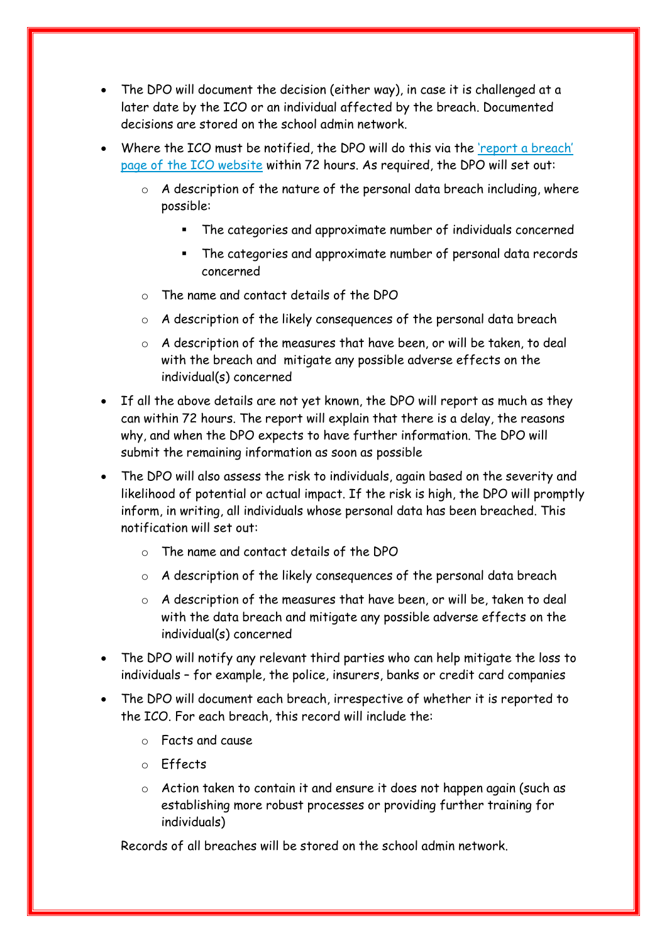- The DPO will document the decision (either way), in case it is challenged at a later date by the ICO or an individual affected by the breach. Documented decisions are stored on the school admin network.
- Where the ICO must be notified, the DPO will do this via the 'report a breach' [page of the ICO website](https://ico.org.uk/for-organisations/report-a-breach/) within 72 hours. As required, the DPO will set out:
	- $\circ$  A description of the nature of the personal data breach including, where possible:
		- The categories and approximate number of individuals concerned
		- The categories and approximate number of personal data records concerned
	- o The name and contact details of the DPO
	- o A description of the likely consequences of the personal data breach
	- o A description of the measures that have been, or will be taken, to deal with the breach and mitigate any possible adverse effects on the individual(s) concerned
- If all the above details are not yet known, the DPO will report as much as they can within 72 hours. The report will explain that there is a delay, the reasons why, and when the DPO expects to have further information. The DPO will submit the remaining information as soon as possible
- The DPO will also assess the risk to individuals, again based on the severity and likelihood of potential or actual impact. If the risk is high, the DPO will promptly inform, in writing, all individuals whose personal data has been breached. This notification will set out:
	- o The name and contact details of the DPO
	- o A description of the likely consequences of the personal data breach
	- $\circ$  A description of the measures that have been, or will be, taken to deal with the data breach and mitigate any possible adverse effects on the individual(s) concerned
- The DPO will notify any relevant third parties who can help mitigate the loss to individuals – for example, the police, insurers, banks or credit card companies
- The DPO will document each breach, irrespective of whether it is reported to the ICO. For each breach, this record will include the:
	- o Facts and cause
	- o Effects
	- o Action taken to contain it and ensure it does not happen again (such as establishing more robust processes or providing further training for individuals)

Records of all breaches will be stored on the school admin network.